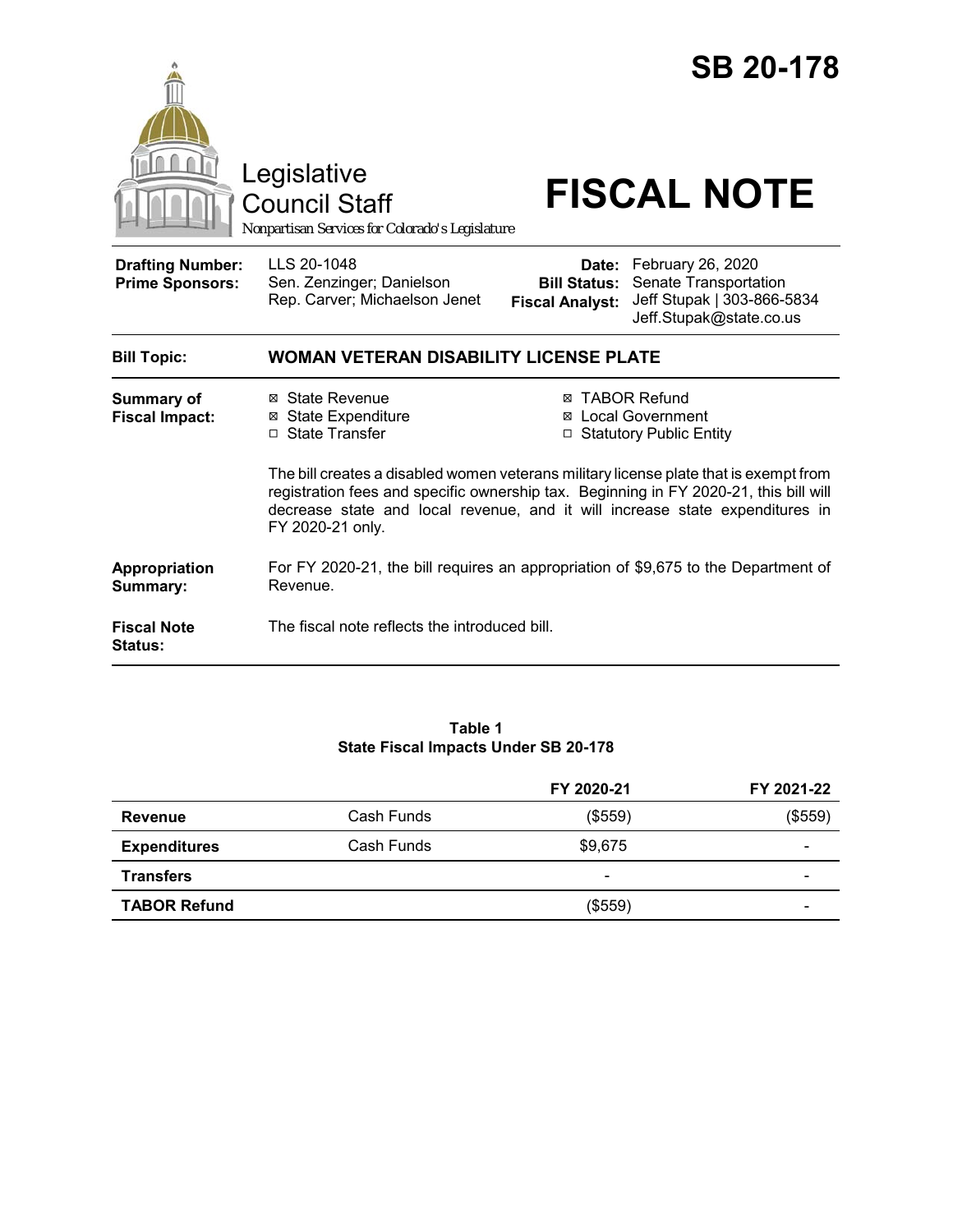



Council Staff

# Legislative<br>
Council Staff **FISCAL NOTE**

*Nonpartisan Services for Colorado's Legislature*

| <b>Bill Topic:</b>                                | <b>WOMAN VETERAN DISABILITY LICENSE PLATE</b>                             |                                                                                                                                               |
|---------------------------------------------------|---------------------------------------------------------------------------|-----------------------------------------------------------------------------------------------------------------------------------------------|
| <b>Drafting Number:</b><br><b>Prime Sponsors:</b> | LLS 20-1048<br>Sen. Zenzinger; Danielson<br>Rep. Carver; Michaelson Jenet | Date: February 26, 2020<br><b>Bill Status:</b> Senate Transportation<br>Fiscal Analyst: Jeff Stupak   303-866-5834<br>Jeff.Stupak@state.co.us |

| <b>Summary of</b><br><b>Fiscal Impact:</b> | ⊠ State Revenue<br>⊠ State Expenditure<br>□ State Transfer                                                                                                                                                                                                                         | ⊠ TABOR Refund<br>⊠ Local Government<br>$\Box$ Statutory Public Entity |  |
|--------------------------------------------|------------------------------------------------------------------------------------------------------------------------------------------------------------------------------------------------------------------------------------------------------------------------------------|------------------------------------------------------------------------|--|
|                                            | The bill creates a disabled women veterans military license plate that is exempt from<br>registration fees and specific ownership tax. Beginning in FY 2020-21, this bill will<br>decrease state and local revenue, and it will increase state expenditures in<br>FY 2020-21 only. |                                                                        |  |
| Appropriation<br>Summary:                  | For FY 2020-21, the bill requires an appropriation of \$9,675 to the Department of<br>Revenue.                                                                                                                                                                                     |                                                                        |  |
| <b>Fiscal Note</b><br><b>Status:</b>       | The fiscal note reflects the introduced bill.                                                                                                                                                                                                                                      |                                                                        |  |

#### **Table 1 State Fiscal Impacts Under SB 20-178**

|                     |            | FY 2020-21 | FY 2021-22 |
|---------------------|------------|------------|------------|
| Revenue             | Cash Funds | (\$559)    | $(\$559)$  |
| <b>Expenditures</b> | Cash Funds | \$9,675    | -          |
| <b>Transfers</b>    |            | -          |            |
| <b>TABOR Refund</b> |            | (\$559)    | -          |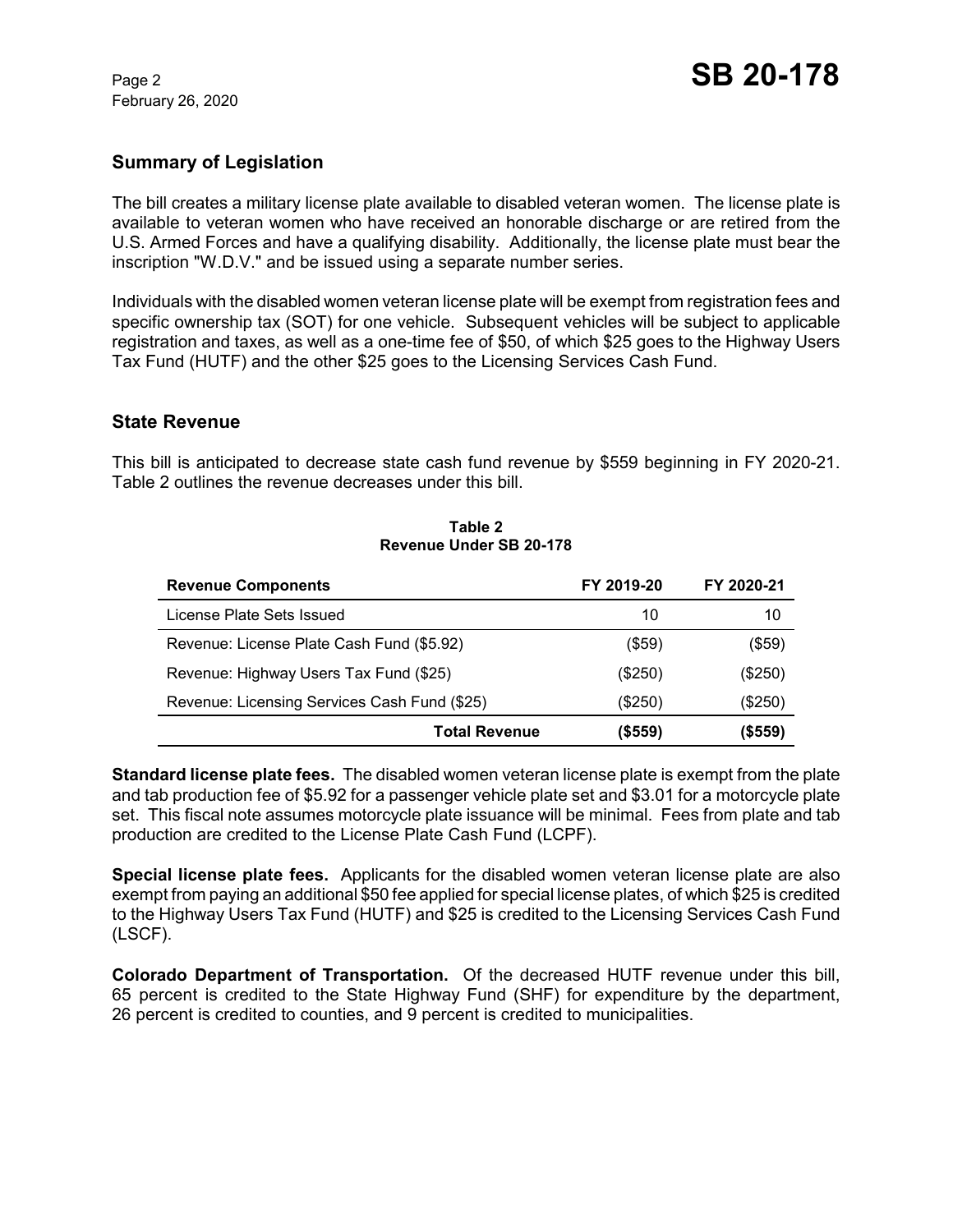February 26, 2020

### **Summary of Legislation**

The bill creates a military license plate available to disabled veteran women. The license plate is available to veteran women who have received an honorable discharge or are retired from the U.S. Armed Forces and have a qualifying disability. Additionally, the license plate must bear the inscription "W.D.V." and be issued using a separate number series.

Individuals with the disabled women veteran license plate will be exempt from registration fees and specific ownership tax (SOT) for one vehicle. Subsequent vehicles will be subject to applicable registration and taxes, as well as a one-time fee of \$50, of which \$25 goes to the Highway Users Tax Fund (HUTF) and the other \$25 goes to the Licensing Services Cash Fund.

#### **State Revenue**

This bill is anticipated to decrease state cash fund revenue by \$559 beginning in FY 2020-21. Table 2 outlines the revenue decreases under this bill.

#### **Table 2 Revenue Under SB 20-178**

| <b>Revenue Components</b>                    | FY 2019-20 | FY 2020-21 |
|----------------------------------------------|------------|------------|
| License Plate Sets Issued                    | 10         | 10         |
| Revenue: License Plate Cash Fund (\$5.92)    | $($ \$59)  | (\$59)     |
| Revenue: Highway Users Tax Fund (\$25)       | $(\$250)$  | (\$250)    |
| Revenue: Licensing Services Cash Fund (\$25) | (\$250)    | (\$250)    |
| <b>Total Revenue</b>                         | (\$559)    | (\$559)    |

**Standard license plate fees.** The disabled women veteran license plate is exempt from the plate and tab production fee of \$5.92 for a passenger vehicle plate set and \$3.01 for a motorcycle plate set. This fiscal note assumes motorcycle plate issuance will be minimal. Fees from plate and tab production are credited to the License Plate Cash Fund (LCPF).

**Special license plate fees.** Applicants for the disabled women veteran license plate are also exempt from paying an additional \$50 fee applied for special license plates, of which \$25 is credited to the Highway Users Tax Fund (HUTF) and \$25 is credited to the Licensing Services Cash Fund (LSCF).

**Colorado Department of Transportation.** Of the decreased HUTF revenue under this bill, 65 percent is credited to the State Highway Fund (SHF) for expenditure by the department, 26 percent is credited to counties, and 9 percent is credited to municipalities.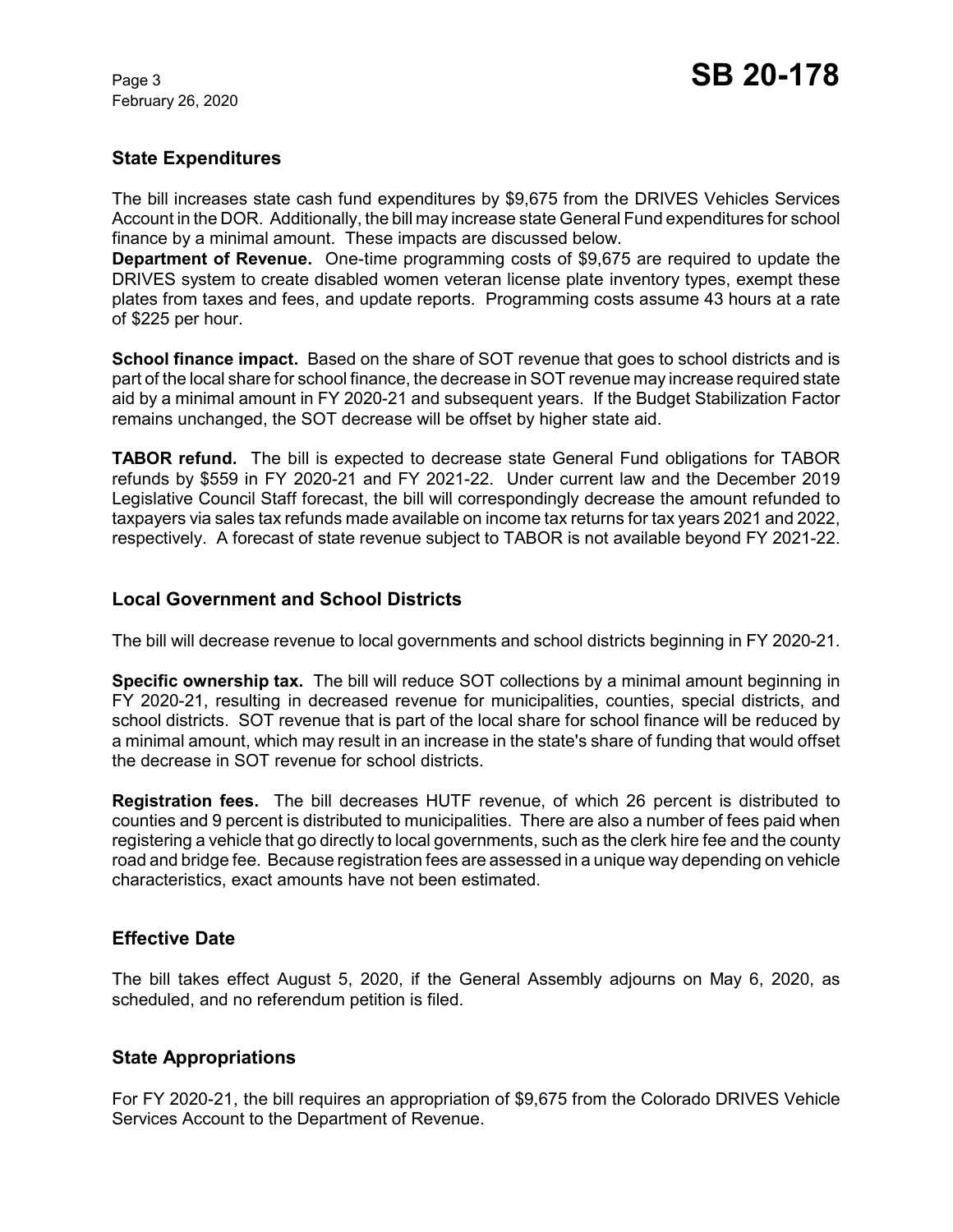# **State Expenditures**

The bill increases state cash fund expenditures by \$9,675 from the DRIVES Vehicles Services Account in the DOR. Additionally, the bill may increase state General Fund expenditures for school finance by a minimal amount. These impacts are discussed below.

**Department of Revenue.** One-time programming costs of \$9,675 are required to update the DRIVES system to create disabled women veteran license plate inventory types, exempt these plates from taxes and fees, and update reports. Programming costs assume 43 hours at a rate of \$225 per hour.

**School finance impact.** Based on the share of SOT revenue that goes to school districts and is part of the local share for school finance, the decrease in SOT revenue may increase required state aid by a minimal amount in FY 2020-21 and subsequent years. If the Budget Stabilization Factor remains unchanged, the SOT decrease will be offset by higher state aid.

**TABOR refund.** The bill is expected to decrease state General Fund obligations for TABOR refunds by \$559 in FY 2020-21 and FY 2021-22. Under current law and the December 2019 Legislative Council Staff forecast, the bill will correspondingly decrease the amount refunded to taxpayers via sales tax refunds made available on income tax returns for tax years 2021 and 2022, respectively. A forecast of state revenue subject to TABOR is not available beyond FY 2021-22.

# **Local Government and School Districts**

The bill will decrease revenue to local governments and school districts beginning in FY 2020-21.

**Specific ownership tax.** The bill will reduce SOT collections by a minimal amount beginning in FY 2020-21, resulting in decreased revenue for municipalities, counties, special districts, and school districts. SOT revenue that is part of the local share for school finance will be reduced by a minimal amount, which may result in an increase in the state's share of funding that would offset the decrease in SOT revenue for school districts.

**Registration fees.** The bill decreases HUTF revenue, of which 26 percent is distributed to counties and 9 percent is distributed to municipalities. There are also a number of fees paid when registering a vehicle that go directly to local governments, such as the clerk hire fee and the county road and bridge fee. Because registration fees are assessed in a unique way depending on vehicle characteristics, exact amounts have not been estimated.

# **Effective Date**

The bill takes effect August 5, 2020, if the General Assembly adjourns on May 6, 2020, as scheduled, and no referendum petition is filed.

# **State Appropriations**

For FY 2020-21, the bill requires an appropriation of \$9,675 from the Colorado DRIVES Vehicle Services Account to the Department of Revenue.